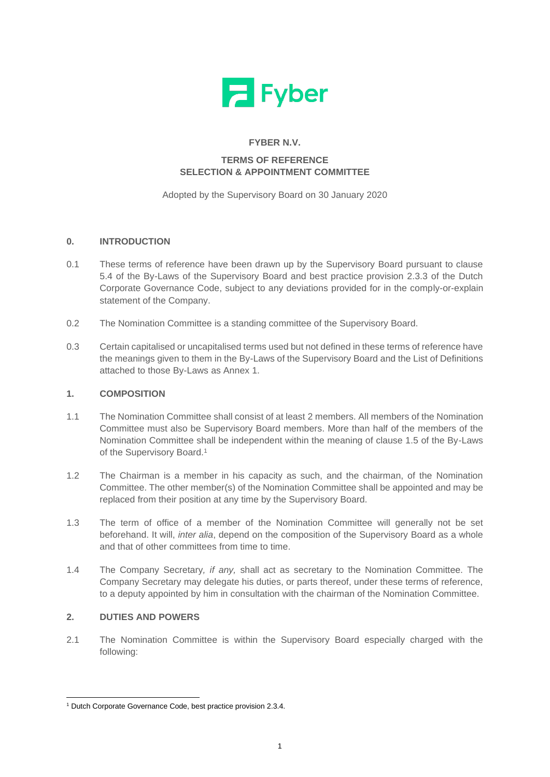

# **FYBER N.V.**

# **TERMS OF REFERENCE SELECTION & APPOINTMENT COMMITTEE**

Adopted by the Supervisory Board on 30 January 2020

## **0. INTRODUCTION**

- 0.1 These terms of reference have been drawn up by the Supervisory Board pursuant to clause 5.4 of the By-Laws of the Supervisory Board and best practice provision 2.3.3 of the Dutch Corporate Governance Code, subject to any deviations provided for in the comply-or-explain statement of the Company.
- 0.2 The Nomination Committee is a standing committee of the Supervisory Board.
- 0.3 Certain capitalised or uncapitalised terms used but not defined in these terms of reference have the meanings given to them in the By-Laws of the Supervisory Board and the List of Definitions attached to those By-Laws as Annex 1.

#### **1. COMPOSITION**

- 1.1 The Nomination Committee shall consist of at least 2 members. All members of the Nomination Committee must also be Supervisory Board members. More than half of the members of the Nomination Committee shall be independent within the meaning of clause 1.5 of the By-Laws of the Supervisory Board.<sup>1</sup>
- 1.2 The Chairman is a member in his capacity as such, and the chairman, of the Nomination Committee. The other member(s) of the Nomination Committee shall be appointed and may be replaced from their position at any time by the Supervisory Board.
- 1.3 The term of office of a member of the Nomination Committee will generally not be set beforehand. It will, *inter alia*, depend on the composition of the Supervisory Board as a whole and that of other committees from time to time.
- 1.4 The Company Secretary*, if any,* shall act as secretary to the Nomination Committee. The Company Secretary may delegate his duties, or parts thereof, under these terms of reference, to a deputy appointed by him in consultation with the chairman of the Nomination Committee.

#### <span id="page-0-0"></span>**2. DUTIES AND POWERS**

2.1 The Nomination Committee is within the Supervisory Board especially charged with the following:

<sup>1</sup> Dutch Corporate Governance Code, best practice provision 2.3.4.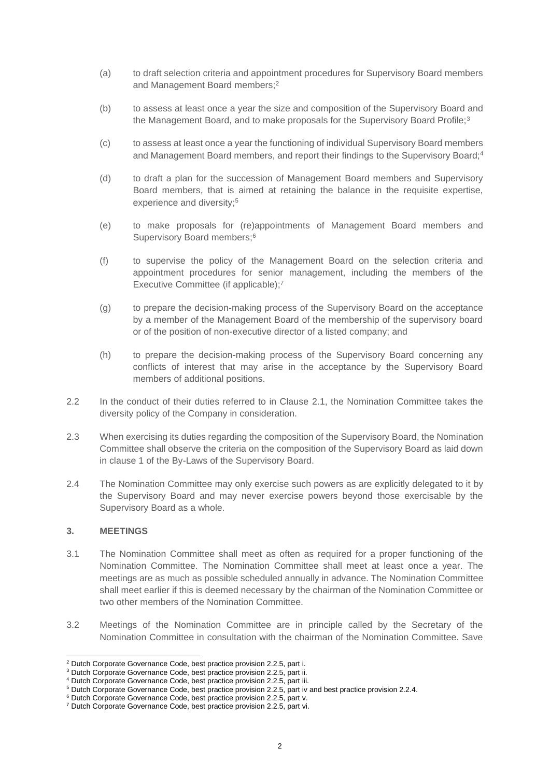- (a) to draft selection criteria and appointment procedures for Supervisory Board members and Management Board members;<sup>2</sup>
- (b) to assess at least once a year the size and composition of the Supervisory Board and the Management Board, and to make proposals for the Supervisory Board Profile;<sup>3</sup>
- (c) to assess at least once a year the functioning of individual Supervisory Board members and Management Board members, and report their findings to the Supervisory Board;<sup>4</sup>
- (d) to draft a plan for the succession of Management Board members and Supervisory Board members, that is aimed at retaining the balance in the requisite expertise, experience and diversity;<sup>5</sup>
- (e) to make proposals for (re)appointments of Management Board members and Supervisory Board members;<sup>6</sup>
- (f) to supervise the policy of the Management Board on the selection criteria and appointment procedures for senior management, including the members of the Executive Committee (if applicable); 7
- (g) to prepare the decision-making process of the Supervisory Board on the acceptance by a member of the Management Board of the membership of the supervisory board or of the position of non-executive director of a listed company; and
- (h) to prepare the decision-making process of the Supervisory Board concerning any conflicts of interest that may arise in the acceptance by the Supervisory Board members of additional positions.
- 2.2 In the conduct of their duties referred to in Clause [2.1,](#page-0-0) the Nomination Committee takes the diversity policy of the Company in consideration.
- 2.3 When exercising its duties regarding the composition of the Supervisory Board, the Nomination Committee shall observe the criteria on the composition of the Supervisory Board as laid down in clause 1 of the By-Laws of the Supervisory Board.
- 2.4 The Nomination Committee may only exercise such powers as are explicitly delegated to it by the Supervisory Board and may never exercise powers beyond those exercisable by the Supervisory Board as a whole.

#### **3. MEETINGS**

- 3.1 The Nomination Committee shall meet as often as required for a proper functioning of the Nomination Committee. The Nomination Committee shall meet at least once a year. The meetings are as much as possible scheduled annually in advance. The Nomination Committee shall meet earlier if this is deemed necessary by the chairman of the Nomination Committee or two other members of the Nomination Committee.
- 3.2 Meetings of the Nomination Committee are in principle called by the Secretary of the Nomination Committee in consultation with the chairman of the Nomination Committee. Save

<sup>2</sup> Dutch Corporate Governance Code, best practice provision 2.2.5, part i.

<sup>&</sup>lt;sup>3</sup> Dutch Corporate Governance Code, best practice provision 2.2.5, part ii.

<sup>4</sup> Dutch Corporate Governance Code, best practice provision 2.2.5, part iii.

<sup>5</sup> Dutch Corporate Governance Code, best practice provision 2.2.5, part iv and best practice provision 2.2.4.

<sup>6</sup> Dutch Corporate Governance Code, best practice provision 2.2.5, part v.

<sup>7</sup> Dutch Corporate Governance Code, best practice provision 2.2.5, part vi.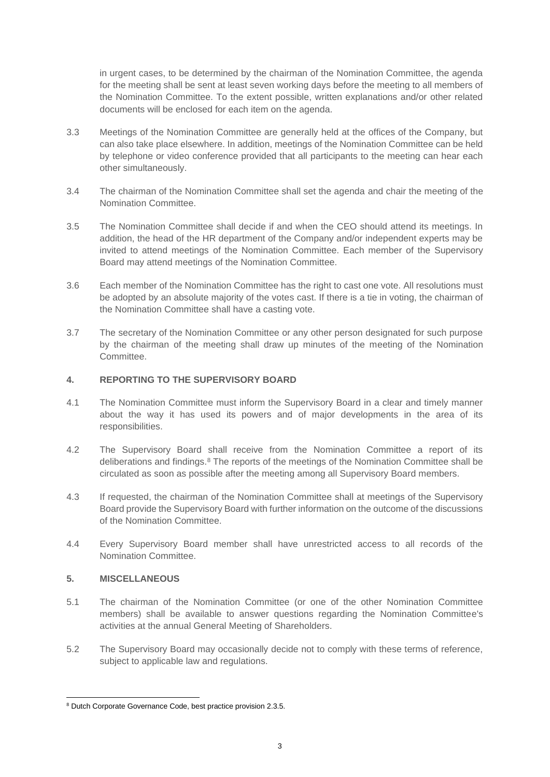in urgent cases, to be determined by the chairman of the Nomination Committee, the agenda for the meeting shall be sent at least seven working days before the meeting to all members of the Nomination Committee. To the extent possible, written explanations and/or other related documents will be enclosed for each item on the agenda.

- 3.3 Meetings of the Nomination Committee are generally held at the offices of the Company, but can also take place elsewhere. In addition, meetings of the Nomination Committee can be held by telephone or video conference provided that all participants to the meeting can hear each other simultaneously.
- 3.4 The chairman of the Nomination Committee shall set the agenda and chair the meeting of the Nomination Committee.
- 3.5 The Nomination Committee shall decide if and when the CEO should attend its meetings. In addition, the head of the HR department of the Company and/or independent experts may be invited to attend meetings of the Nomination Committee. Each member of the Supervisory Board may attend meetings of the Nomination Committee.
- 3.6 Each member of the Nomination Committee has the right to cast one vote. All resolutions must be adopted by an absolute majority of the votes cast. If there is a tie in voting, the chairman of the Nomination Committee shall have a casting vote.
- 3.7 The secretary of the Nomination Committee or any other person designated for such purpose by the chairman of the meeting shall draw up minutes of the meeting of the Nomination Committee.

## **4. REPORTING TO THE SUPERVISORY BOARD**

- 4.1 The Nomination Committee must inform the Supervisory Board in a clear and timely manner about the way it has used its powers and of major developments in the area of its responsibilities.
- 4.2 The Supervisory Board shall receive from the Nomination Committee a report of its deliberations and findings.<sup>8</sup> The reports of the meetings of the Nomination Committee shall be circulated as soon as possible after the meeting among all Supervisory Board members.
- 4.3 If requested, the chairman of the Nomination Committee shall at meetings of the Supervisory Board provide the Supervisory Board with further information on the outcome of the discussions of the Nomination Committee.
- 4.4 Every Supervisory Board member shall have unrestricted access to all records of the Nomination Committee.

#### **5. MISCELLANEOUS**

- 5.1 The chairman of the Nomination Committee (or one of the other Nomination Committee members) shall be available to answer questions regarding the Nomination Committee's activities at the annual General Meeting of Shareholders.
- 5.2 The Supervisory Board may occasionally decide not to comply with these terms of reference, subject to applicable law and regulations.

<sup>8</sup> Dutch Corporate Governance Code, best practice provision 2.3.5.